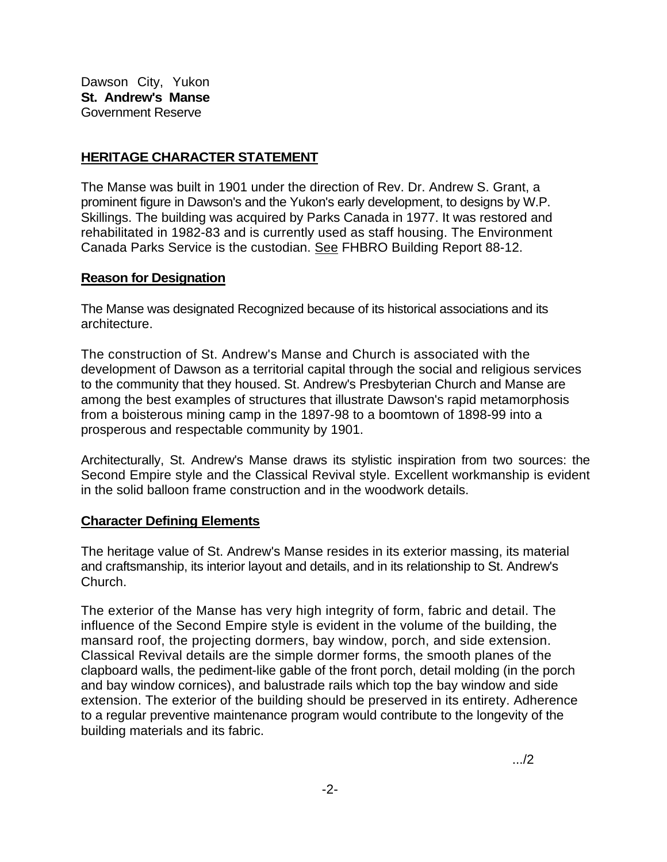Dawson City, Yukon **St. Andrew's Manse**  Government Reserve

## **HERITAGE CHARACTER STATEMENT**

The Manse was built in 1901 under the direction of Rev. Dr. Andrew S. Grant, a prominent figure in Dawson's and the Yukon's early development, to designs by W.P. Skillings. The building was acquired by Parks Canada in 1977. It was restored and rehabilitated in 1982-83 and is currently used as staff housing. The Environment Canada Parks Service is the custodian. See FHBRO Building Report 88-12.

## **Reason for Designation**

The Manse was designated Recognized because of its historical associations and its architecture.

The construction of St. Andrew's Manse and Church is associated with the development of Dawson as a territorial capital through the social and religious services to the community that they housed. St. Andrew's Presbyterian Church and Manse are among the best examples of structures that illustrate Dawson's rapid metamorphosis from a boisterous mining camp in the 1897-98 to a boomtown of 1898-99 into a prosperous and respectable community by 1901.

Architecturally, St. Andrew's Manse draws its stylistic inspiration from two sources: the Second Empire style and the Classical Revival style. Excellent workmanship is evident in the solid balloon frame construction and in the woodwork details.

## **Character Defining Elements**

The heritage value of St. Andrew's Manse resides in its exterior massing, its material and craftsmanship, its interior layout and details, and in its relationship to St. Andrew's Church.

The exterior of the Manse has very high integrity of form, fabric and detail. The influence of the Second Empire style is evident in the volume of the building, the mansard roof, the projecting dormers, bay window, porch, and side extension. Classical Revival details are the simple dormer forms, the smooth planes of the clapboard walls, the pediment-like gable of the front porch, detail molding (in the porch and bay window cornices), and balustrade rails which top the bay window and side extension. The exterior of the building should be preserved in its entirety. Adherence to a regular preventive maintenance program would contribute to the longevity of the building materials and its fabric.

.../2